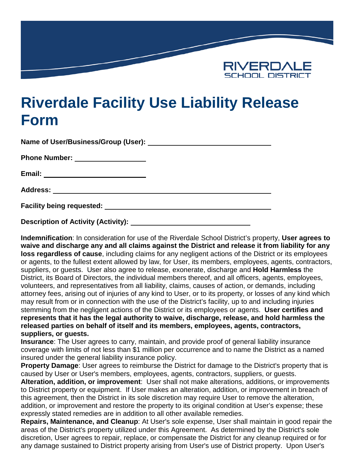

## **Riverdale Facility Use Liability Release Form**

| Name of User/Business/Group (User):                                           | <u> 1989 - John Stein, mars and de finland and de finland and de finland and de finland and de finland and de fin</u> |
|-------------------------------------------------------------------------------|-----------------------------------------------------------------------------------------------------------------------|
| <b>Phone Number:</b><br><u> 1989 - Andrea State Barbara, poeta esperanto-</u> |                                                                                                                       |
| Email:<br><u> 1989 - Johann Barbara, martxa alemaniar arg</u>                 |                                                                                                                       |
| <b>Address:</b>                                                               |                                                                                                                       |
| <b>Facility being requested:</b>                                              |                                                                                                                       |

**Description of Activity (Activity):** 

**Indemnification**: In consideration for use of the Riverdale School District's property, **User agrees to waive and discharge any and all claims against the District and release it from liability for any loss regardless of cause**, including claims for any negligent actions of the District or its employees or agents, to the fullest extent allowed by law, for User, its members, employees, agents, contractors, suppliers, or guests. User also agree to release, exonerate, discharge and **Hold Harmless** the District, its Board of Directors, the individual members thereof, and all officers, agents, employees, volunteers, and representatives from all liability, claims, causes of action, or demands, including attorney fees, arising out of injuries of any kind to User, or to its property, or losses of any kind which may result from or in connection with the use of the District's facility, up to and including injuries stemming from the negligent actions of the District or its employees or agents. **User certifies and represents that it has the legal authority to waive, discharge, release, and hold harmless the released parties on behalf of itself and its members, employees, agents, contractors, suppliers, or guests.**

**Insurance**: The User agrees to carry, maintain, and provide proof of general liability insurance coverage with limits of not less than \$1 million per occurrence and to name the District as a named insured under the general liability insurance policy.

**Property Damage**: User agrees to reimburse the District for damage to the District's property that is caused by User or User's members, employees, agents, contractors, suppliers, or guests.

**Alteration, addition, or improvement**: User shall not make alterations, additions, or improvements to District property or equipment. If User makes an alteration, addition, or improvement in breach of this agreement, then the District in its sole discretion may require User to remove the alteration, addition, or improvement and restore the property to its original condition at User's expense; these expressly stated remedies are in addition to all other available remedies.

**Repairs, Maintenance, and Cleanup**: At User's sole expense, User shall maintain in good repair the areas of the District's property utilized under this Agreement. As determined by the District's sole discretion, User agrees to repair, replace, or compensate the District for any cleanup required or for any damage sustained to District property arising from User's use of District property. Upon User's